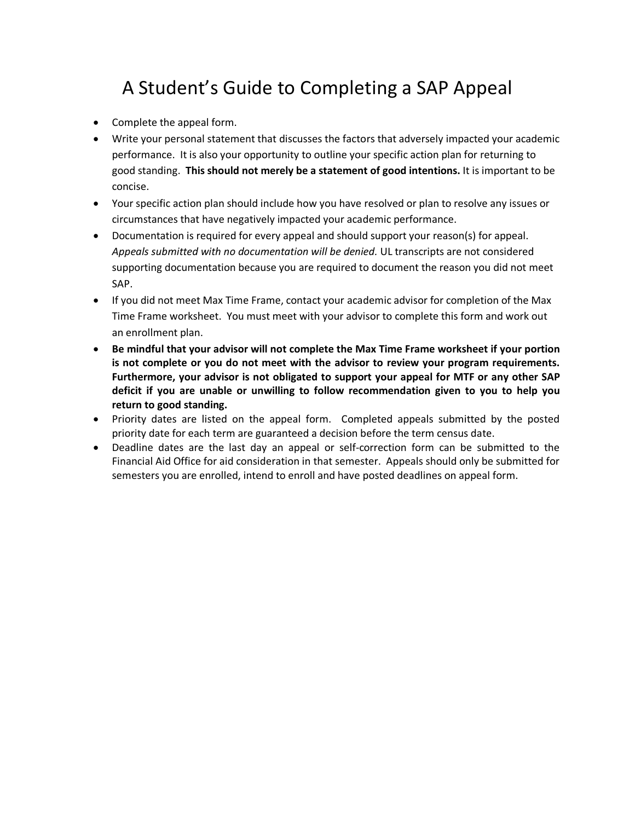## A Student's Guide to Completing a SAP Appeal

- Complete the appeal form.
- Write your personal statement that discusses the factors that adversely impacted your academic performance. It is also your opportunity to outline your specific action plan for returning to good standing. **This should not merely be a statement of good intentions.** It is important to be concise.
- Your specific action plan should include how you have resolved or plan to resolve any issues or circumstances that have negatively impacted your academic performance.
- Documentation is required for every appeal and should support your reason(s) for appeal. *Appeals submitted with no documentation will be denied.* UL transcripts are not considered supporting documentation because you are required to document the reason you did not meet SAP.
- If you did not meet Max Time Frame, contact your academic advisor for completion of the Max Time Frame worksheet. You must meet with your advisor to complete this form and work out an enrollment plan.
- **Be mindful that your advisor will not complete the Max Time Frame worksheet if your portion is not complete or you do not meet with the advisor to review your program requirements. Furthermore, your advisor is not obligated to support your appeal for MTF or any other SAP deficit if you are unable or unwilling to follow recommendation given to you to help you return to good standing.**
- Priority dates are listed on the appeal form. Completed appeals submitted by the posted priority date for each term are guaranteed a decision before the term census date.
- Deadline dates are the last day an appeal or self-correction form can be submitted to the Financial Aid Office for aid consideration in that semester. Appeals should only be submitted for semesters you are enrolled, intend to enroll and have posted deadlines on appeal form.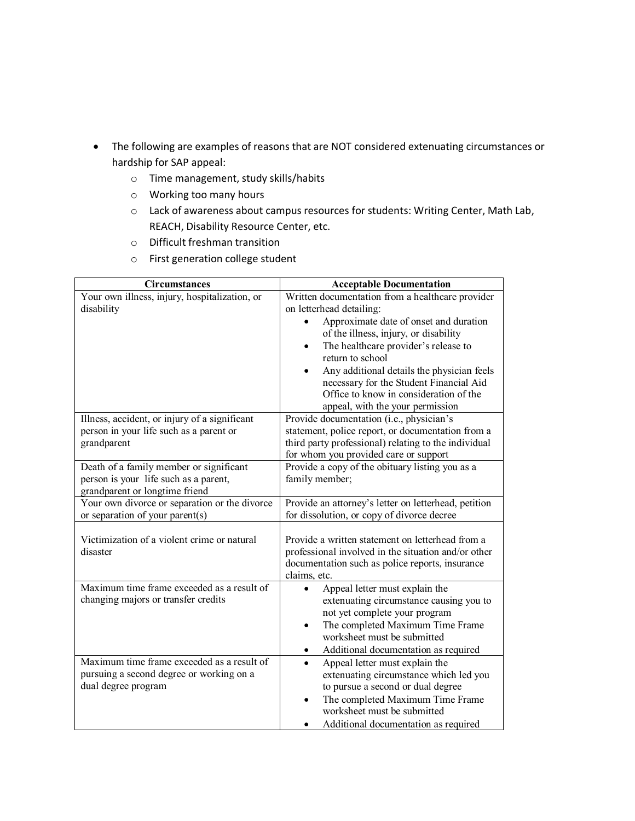- The following are examples of reasons that are NOT considered extenuating circumstances or hardship for SAP appeal:
	- o Time management, study skills/habits
	- o Working too many hours
	- o Lack of awareness about campus resources for students: Writing Center, Math Lab, REACH, Disability Resource Center, etc.
	- o Difficult freshman transition
	- o First generation college student

| <b>Circumstances</b>                                                                                               | <b>Acceptable Documentation</b>                                                                                                                                                                                                                                                             |
|--------------------------------------------------------------------------------------------------------------------|---------------------------------------------------------------------------------------------------------------------------------------------------------------------------------------------------------------------------------------------------------------------------------------------|
| Your own illness, injury, hospitalization, or<br>disability                                                        | Written documentation from a healthcare provider<br>on letterhead detailing:                                                                                                                                                                                                                |
|                                                                                                                    | Approximate date of onset and duration<br>of the illness, injury, or disability<br>The healthcare provider's release to<br>$\bullet$<br>return to school<br>Any additional details the physician feels<br>necessary for the Student Financial Aid<br>Office to know in consideration of the |
|                                                                                                                    | appeal, with the your permission                                                                                                                                                                                                                                                            |
| Illness, accident, or injury of a significant<br>person in your life such as a parent or<br>grandparent            | Provide documentation (i.e., physician's<br>statement, police report, or documentation from a<br>third party professional) relating to the individual<br>for whom you provided care or support                                                                                              |
| Death of a family member or significant<br>person is your life such as a parent,<br>grandparent or longtime friend | Provide a copy of the obituary listing you as a<br>family member;                                                                                                                                                                                                                           |
| Your own divorce or separation or the divorce<br>or separation of your parent(s)                                   | Provide an attorney's letter on letterhead, petition<br>for dissolution, or copy of divorce decree                                                                                                                                                                                          |
| Victimization of a violent crime or natural<br>disaster                                                            | Provide a written statement on letterhead from a<br>professional involved in the situation and/or other<br>documentation such as police reports, insurance<br>claims, etc.                                                                                                                  |
| Maximum time frame exceeded as a result of<br>changing majors or transfer credits                                  | Appeal letter must explain the<br>$\bullet$<br>extenuating circumstance causing you to<br>not yet complete your program<br>The completed Maximum Time Frame<br>$\bullet$<br>worksheet must be submitted<br>Additional documentation as required                                             |
| Maximum time frame exceeded as a result of<br>pursuing a second degree or working on a<br>dual degree program      | Appeal letter must explain the<br>extenuating circumstance which led you<br>to pursue a second or dual degree<br>The completed Maximum Time Frame<br>worksheet must be submitted<br>Additional documentation as required                                                                    |